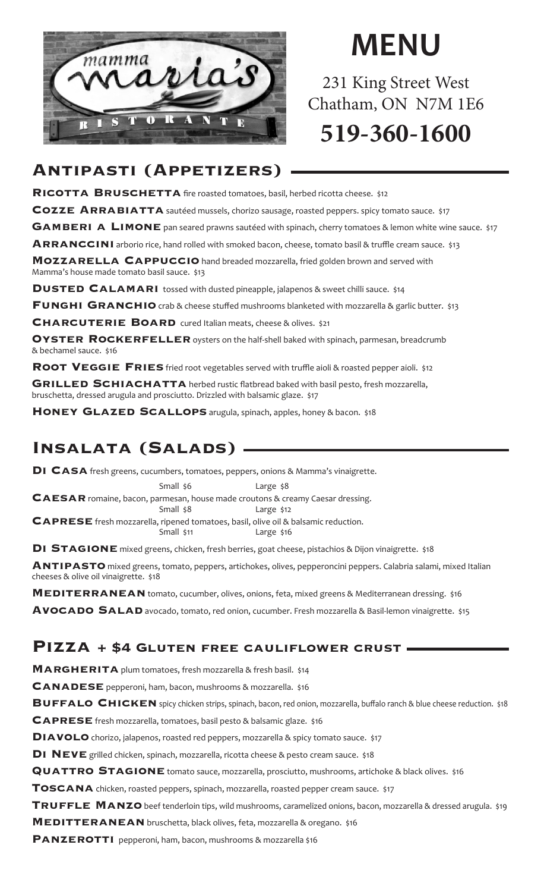

# **MENU**

231 King Street West Chatham, ON N7M 1E6 **519-360-1600**

### **Antipasti (Appetizers)**

**RICOTTA BRUSCHETTA** fire roasted tomatoes, basil, herbed ricotta cheese. \$12

**COZZE ARRABIATTA** sautéed mussels, chorizo sausage, roasted peppers. spicy tomato sauce. \$17

**GAMBERI A LIMONE** pan seared prawns sautéed with spinach, cherry tomatoes & lemon white wine sauce. \$17

ARRANCCINI arborio rice, hand rolled with smoked bacon, cheese, tomato basil & truffle cream sauce. \$13

**MOZZARELLA CAPPUCCIO** hand breaded mozzarella, fried golden brown and served with Mamma's house made tomato basil sauce. \$13

**DUSTED CALAMARI** tossed with dusted pineapple, jalapenos & sweet chilli sauce. \$14

**FUNGHI GRANCHIO** crab & cheese stuffed mushrooms blanketed with mozzarella & garlic butter. \$13

**CHARCUTERIE BOARD** cured Italian meats, cheese & olives. \$21

**OYSTER ROCKERFELLER** oysters on the half-shell baked with spinach, parmesan, breadcrumb & bechamel sauce. \$16

**ROOT VEGGIE FRIES** fried root vegetables served with truffle aioli & roasted pepper aioli. \$12

**GRILLED SCHIACHATTA** herbed rustic flatbread baked with basil pesto, fresh mozzarella, bruschetta, dressed arugula and prosciutto. Drizzled with balsamic glaze. \$17

**HONEY GLAZED SCALLOPS** arugula, spinach, apples, honey & bacon. \$18

### **Insalata (Salads)**

**Di Casa** fresh greens, cucumbers, tomatoes, peppers, onions & Mamma's vinaigrette.

Small \$6 Large \$8 **CAESAR** romaine, bacon, parmesan, house made croutons & creamy Caesar dressing. Small \$8 Large \$12 **Caprese** fresh mozzarella, ripened tomatoes, basil, olive oil & balsamic reduction. Large \$16

**DI STAGIONE** mixed greens, chicken, fresh berries, goat cheese, pistachios & Dijon vinaigrette. \$18

**Antipasto** mixed greens, tomato, peppers, artichokes, olives, pepperoncini peppers. Calabria salami, mixed Italian cheeses & olive oil vinaigrette. \$18

**MEDITERRANEAN** tomato, cucumber, olives, onions, feta, mixed greens & Mediterranean dressing. \$16 **Avocado Salad** avocado, tomato, red onion, cucumber. Fresh mozzarella & Basil-lemon vinaigrette. \$15

#### **Pizza + \$4 Gluten free cauliflower crust**

MARGHERITA plum tomatoes, fresh mozzarella & fresh basil. \$14

**CANADESE** pepperoni, ham, bacon, mushrooms & mozzarella. \$16

**BUFFALO CHICKEN** spicy chicken strips, spinach, bacon, red onion, mozzarella, buffalo ranch & blue cheese reduction. \$18

**Caprese** fresh mozzarella, tomatoes, basil pesto & balsamic glaze. \$16

**DIAVOLO** chorizo, jalapenos, roasted red peppers, mozzarella & spicy tomato sauce. \$17

**DI NEVE** grilled chicken, spinach, mozzarella, ricotta cheese & pesto cream sauce. \$18

**QUATTRO STAGIONE** tomato sauce, mozzarella, prosciutto, mushrooms, artichoke & black olives. \$16

**Toscana** chicken, roasted peppers, spinach, mozzarella, roasted pepper cream sauce. \$17

**TRUFFLE MANZO** beef tenderloin tips, wild mushrooms, caramelized onions, bacon, mozzarella & dressed arugula. \$19

**MEDITTERANEAN** bruschetta, black olives, feta, mozzarella & oregano. \$16

**PANZEROTTI** pepperoni, ham, bacon, mushrooms & mozzarella \$16